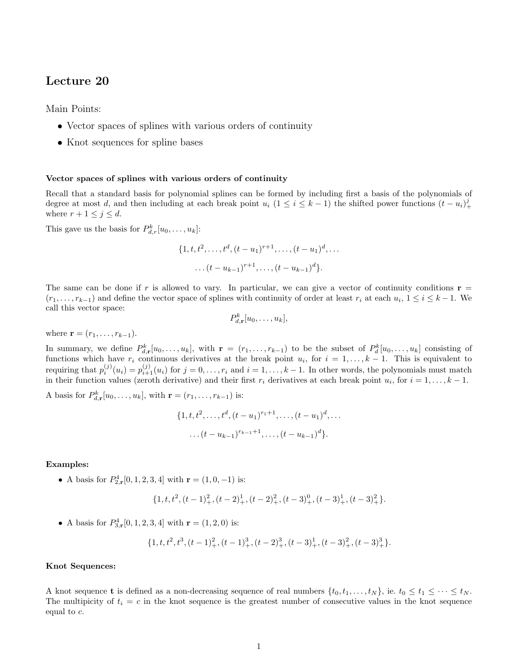# Lecture 20

Main Points:

- Vector spaces of splines with various orders of continuity
- Knot sequences for spline bases

## Vector spaces of splines with various orders of continuity

Recall that a standard basis for polynomial splines can be formed by including first a basis of the polynomials of degree at most d, and then including at each break point  $u_i$  (1 ≤ i ≤ k − 1) the shifted power functions  $(t - u_i)_+^j$ where  $r + 1 \leq j \leq d$ .

This gave us the basis for  $P_{d,r}^k[u_0,\ldots,u_k]$ :

$$
\{1, t, t2,..., td, (t – u1)r+1,..., (t – u1)d,...
$$

$$
...(t – uk-1)r+1,..., (t – uk-1)d\}.
$$

The same can be done if r is allowed to vary. In particular, we can give a vector of continuity conditions  $\mathbf{r} =$  $(r_1, \ldots, r_{k-1})$  and define the vector space of splines with continuity of order at least  $r_i$  at each  $u_i, 1 \le i \le k-1$ . We call this vector space:

$$
P_{d,\mathbf{r}}^k[u_0,\ldots,u_k],
$$

where  $$ 

In summary, we define  $P_{d,\mathbf{r}}^k[u_0,\ldots,u_k]$ , with  $\mathbf{r}=(r_1,\ldots,r_{k-1})$  to be the subset of  $P_d^k[u_0,\ldots,u_k]$  consisting of functions which have  $r_i$  continuous derivatives at the break point  $u_i$ , for  $i = 1, ..., k-1$ . This is equivalent to requiring that  $p_i^{(j)}(u_i) = p_{i+1}^{(j)}(u_i)$  for  $j = 0, \ldots, r_i$  and  $i = 1, \ldots, k-1$ . In other words, the polynomials must match in their function values (zeroth derivative) and their first  $r_i$  derivatives at each break point  $u_i$ , for  $i = 1, \ldots, k - 1$ .

A basis for  $P_{d,r}^{k}[u_0, \ldots, u_k]$ , with  $\mathbf{r} = (r_1, \ldots, r_{k-1})$  is:

$$
\{1, t, t^2, \dots, t^d, (t - u_1)^{r_1 + 1}, \dots, (t - u_1)^d, \dots
$$

$$
\dots (t - u_{k-1})^{r_{k-1} + 1}, \dots, (t - u_{k-1})^d\}.
$$

Examples:

• A basis for  $P_{2,\mathbf{r}}^4[0,1,2,3,4]$  with  $\mathbf{r}=(1,0,-1)$  is:

$$
\{1, t, t^{2}, (t-1)_{+}^{2}, (t-2)_{+}^{1}, (t-2)_{+}^{2}, (t-3)_{+}^{0}, (t-3)_{+}^{1}, (t-3)_{+}^{2}\}.
$$

• A basis for  $P_{3,\mathbf{r}}^4[0,1,2,3,4]$  with  $\mathbf{r} = (1,2,0)$  is:

$$
\{1, t, t2, t3, (t-1)2_{+}, (t-1)3_{+}, (t-2)3_{+}, (t-3)1_{+}, (t-3)2_{+}, (t-3)3_{+}\}.
$$

## Knot Sequences:

A knot sequence **t** is defined as a non-decreasing sequence of real numbers  $\{t_0, t_1, \ldots, t_N\}$ , ie.  $t_0 \le t_1 \le \cdots \le t_N$ . The multipicity of  $t_i = c$  in the knot sequence is the greatest number of consecutive values in the knot sequence equal to c.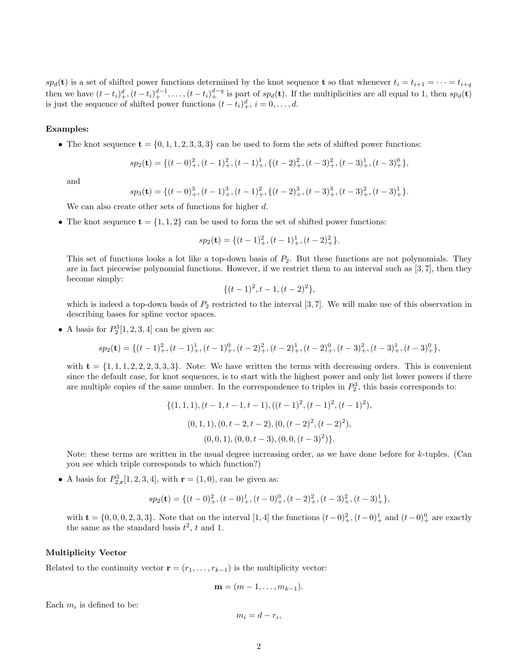$sp_d(\mathbf{t})$  is a set of shifted power functions determined by the knot sequence **t** so that whenever  $t_i = t_{i+1} = \cdots = t_{i+q}$ then we have  $(t-t_i)_+^d, (t-t_i)_+^{d-1}, \ldots, (t-t_i)_+^{d-q}$  is part of  $sp_d(\mathbf{t})$ . If the multiplicities are all equal to 1, then  $sp_d(\mathbf{t})$ is just the sequence of shifted power functions  $(t-t_i)_+^d$ ,  $i=0,\ldots,d$ .

#### Examples:

• The knot sequence  $\mathbf{t} = \{0, 1, 1, 2, 3, 3, 3\}$  can be used to form the sets of shifted power functions:

$$
sp_2(\mathbf{t}) = \{(t-0)_+^2, (t-1)_+^2, (t-1)_+^1, \{(t-2)_+^2, (t-3)_+^2, (t-3)_+^1, (t-3)_+^0\},\
$$

and

$$
sp_3(\mathbf{t}) = \{(t-0)_+^3, (t-1)_+^3, (t-1)_+^2, \{(t-2)_+^3, (t-3)_+^3, (t-3)_+^2, (t-3)_+^1\}.
$$

We can also create other sets of functions for higher d.

• The knot sequence  $\mathbf{t} = \{1, 1, 2\}$  can be used to form the set of shifted power functions:

$$
sp_2(\mathbf{t}) = \{ (t-1)_+^2, (t-1)_+^1, (t-2)_+^2 \}.
$$

This set of functions looks a lot like a top-down basis of  $P_2$ . But these functions are not polynomials. They are in fact piecewise polynomial functions. However, if we restrict them to an interval such as  $[3, 7]$ , then they become simply:

$$
\{(t-1)^2, t-1, (t-2)^2\},\
$$

which is indeed a top-down basis of  $P_2$  restricted to the interval [3,7]. We will make use of this observation in describing bases for spline vector spaces.

• A basis for  $P_2^3[1, 2, 3, 4]$  can be given as:

$$
sp_2(\mathbf{t}) = \{(t-1)_+^2, (t-1)_+^1, (t-1)_+^0, (t-2)_+^2, (t-2)_+^1, (t-2)_+^0, (t-3)_+^2, (t-3)_+^1, (t-3)_+^0\},\
$$

with  $t = \{1, 1, 1, 2, 2, 2, 3, 3, 3\}$ . Note: We have written the terms with decreasing orders. This is convenient since the default case, for knot sequences, is to start with the highest power and only list lower powers if there are multiple copies of the same number. In the correspondence to triples in  $P_2^3$ , this basis corresponds to:

$$
\{(1,1,1),(t-1,t-1,t-1),((t-1)^2,(t-1)^2,(t-1)^2),
$$
  
(0,1,1),(0,t-2,t-2),(0,(t-2)^2,(t-2)^2),  
(0,0,1),(0,0,t-3),(0,0,(t-3)^2)\}.

Note: these terms are written in the usual degree increasing order, as we have done before for k-tuples. (Can you see which triple corresponds to which function?)

• A basis for  $P_{2,\mathbf{r}}^3[1, 2, 3, 4]$ , with  $\mathbf{r} = (1, 0)$ , can be given as:

$$
sp_2(\mathbf{t})=\{(t-0)_+^2,(t-0)_+^1,(t-0)_+^0,(t-2)_+^2,(t-3)_+^2,(t-3)_+^1\},
$$

with  $\mathbf{t} = \{0, 0, 0, 2, 3, 3\}$ . Note that on the interval  $[1, 4]$  the functions  $(t-0)_+^2$ ,  $(t-0)_+^1$  and  $(t-0)_+^0$  are exactly the same as the standard basis  $t^2$ , t and 1.

## Multiplicity Vector

Related to the continuity vector  $\mathbf{r} = (r_1, \ldots, r_{k-1})$  is the multiplicity vector:

$$
\mathbf{m}=(m-1,\ldots,m_{k-1}).
$$

Each  $m_i$  is defined to be:

$$
m_i = d - r_i,
$$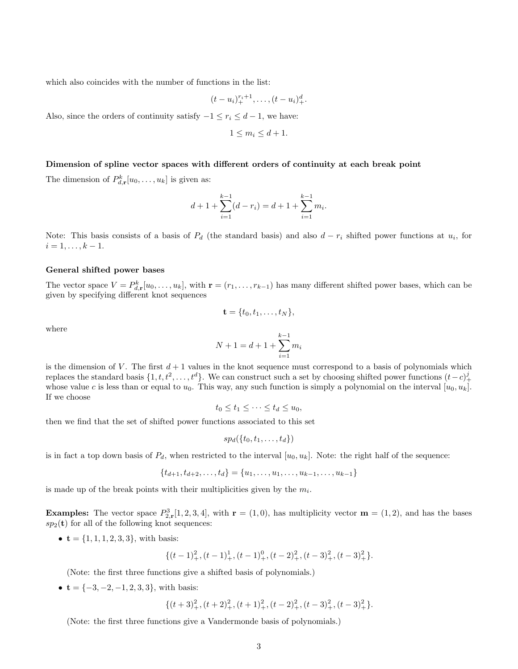which also coincides with the number of functions in the list:

$$
(t-u_i)_+^{r_i+1},\ldots,(t-u_i)_+^d.
$$

Also, since the orders of continuity satisfy  $-1 \le r_i \le d-1$ , we have:

$$
1 \le m_i \le d+1.
$$

#### Dimension of spline vector spaces with different orders of continuity at each break point

The dimension of  $P_{d,\mathbf{r}}^k[u_0,\ldots,u_k]$  is given as:

$$
d+1+\sum_{i=1}^{k-1}(d-r_i) = d+1+\sum_{i=1}^{k-1}m_i.
$$

Note: This basis consists of a basis of  $P_d$  (the standard basis) and also  $d - r_i$  shifted power functions at  $u_i$ , for  $i = 1, \ldots, k - 1.$ 

#### General shifted power bases

The vector space  $V = P_{d,\mathbf{r}}^k[u_0,\ldots,u_k]$ , with  $\mathbf{r} = (r_1,\ldots,r_{k-1})$  has many different shifted power bases, which can be given by specifying different knot sequences

$$
\mathbf{t} = \{t_0, t_1, \ldots, t_N\},\
$$

where

$$
N + 1 = d + 1 + \sum_{i=1}^{k-1} m_i
$$

is the dimension of V. The first  $d+1$  values in the knot sequence must correspond to a basis of polynomials which replaces the standard basis  $\{1, t, t^2, \ldots, t^d\}$ . We can construct such a set by choosing shifted power functions  $(t-c)^j_+$ whose value c is less than or equal to  $u_0$ . This way, any such function is simply a polynomial on the interval  $[u_0, u_k]$ . If we choose

$$
t_0 \le t_1 \le \cdots \le t_d \le u_0,
$$

then we find that the set of shifted power functions associated to this set

$$
sp_d(\{t_0,t_1,\ldots,t_d\})
$$

is in fact a top down basis of  $P_d$ , when restricted to the interval  $[u_0, u_k]$ . Note: the right half of the sequence:

$$
\{t_{d+1}, t_{d+2}, \dots, t_d\} = \{u_1, \dots, u_1, \dots, u_{k-1}, \dots, u_{k-1}\}
$$

is made up of the break points with their multiplicities given by the  $m_i$ .

**Examples:** The vector space  $P_{2,\mathbf{r}}^3[1, 2, 3, 4]$ , with  $\mathbf{r} = (1, 0)$ , has multiplicity vector  $\mathbf{m} = (1, 2)$ , and has the bases  $sp_2(t)$  for all of the following knot sequences:

•  $t = \{1, 1, 1, 2, 3, 3\}$ , with basis:

$$
\{(t-1)_+^2, (t-1)_+^1, (t-1)_+^0, (t-2)_+^2, (t-3)_+^2, (t-3)_+^2\}.
$$

(Note: the first three functions give a shifted basis of polynomials.)

•  $t = \{-3, -2, -1, 2, 3, 3\}$ , with basis:

$$
\{(t+3)_+^2,(t+2)_+^2,(t+1)_+^2,(t-2)_+^2,(t-3)_+^2,(t-3)_+^2\}.
$$

(Note: the first three functions give a Vandermonde basis of polynomials.)